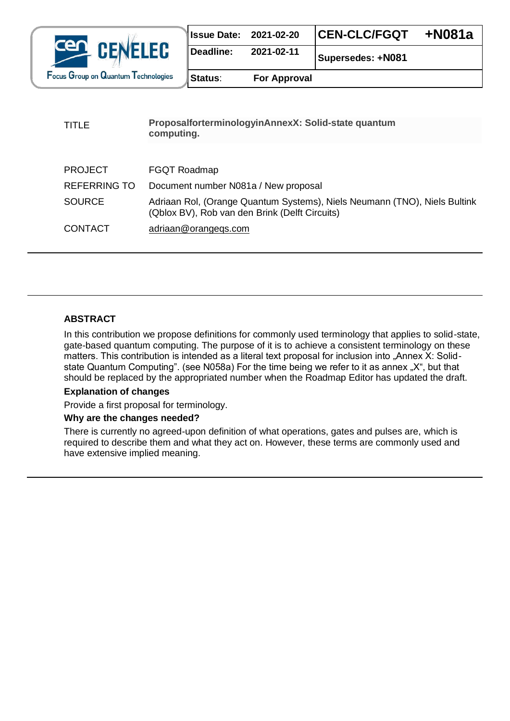

| <b>Issue Date: 2021-02-20</b> |            | <b>CEN-CLC/FGQT</b> | +N081a |
|-------------------------------|------------|---------------------|--------|
| Deadline:                     | 2021-02-11 | Supersedes: +N081   |        |

| <b>For Approval</b> |
|---------------------|
|                     |

| <b>TITLE</b>        | ProposalforterminologyinAnnexX: Solid-state quantum<br>computing.                                                           |  |
|---------------------|-----------------------------------------------------------------------------------------------------------------------------|--|
|                     |                                                                                                                             |  |
| <b>PROJECT</b>      | FGQT Roadmap                                                                                                                |  |
| <b>REFERRING TO</b> | Document number N081a / New proposal                                                                                        |  |
| <b>SOURCE</b>       | Adriaan Rol, (Orange Quantum Systems), Niels Neumann (TNO), Niels Bultink<br>(Qblox BV), Rob van den Brink (Delft Circuits) |  |
| <b>CONTACT</b>      | adriaan@orangegs.com                                                                                                        |  |

#### **ABSTRACT**

In this contribution we propose definitions for commonly used terminology that applies to solid-state, gate-based quantum computing. The purpose of it is to achieve a consistent terminology on these matters. This contribution is intended as a literal text proposal for inclusion into "Annex X: Solidstate Quantum Computing". (see N058a) For the time being we refer to it as annex "X", but that should be replaced by the appropriated number when the Roadmap Editor has updated the draft.

## **Explanation of changes**

Provide a first proposal for terminology.

#### **Why are the changes needed?**

There is currently no agreed-upon definition of what operations, gates and pulses are, which is required to describe them and what they act on. However, these terms are commonly used and have extensive implied meaning.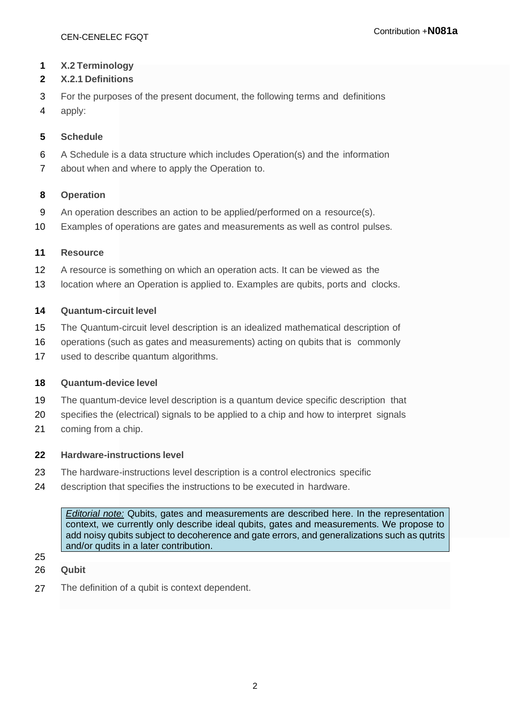#### **X.2 Terminology**

## **X.2.1 Definitions**

- For the purposes of the present document, the following terms and definitions
- apply:

#### **Schedule**

- A Schedule is a data structure which includes Operation(s) and the information
- about when and where to apply the Operation to.

#### **Operation**

- An operation describes an action to be applied/performed on a resource(s).
- Examples of operations are gates and measurements as well as control pulses.

#### **Resource**

- A resource is something on which an operation acts. It can be viewed as the
- location where an Operation is applied to. Examples are qubits, ports and clocks.

#### **Quantum-circuit level**

- The Quantum-circuit level description is an idealized mathematical description of
- operations (such as gates and measurements) acting on qubits that is commonly
- 17 used to describe quantum algorithms.

## **Quantum-device level**

- The quantum-device level description is a quantum device specific description that
- specifies the (electrical) signals to be applied to a chip and how to interpret signals
- coming from a chip.

#### **Hardware-instructions level**

- The hardware-instructions level description is a control electronics specific
- description that specifies the instructions to be executed in hardware.

*Editorial note:* Qubits, gates and measurements are described here. In the representation context, we currently only describe ideal qubits, gates and measurements. We propose to add noisy qubits subject to decoherence and gate errors, and generalizations such as qutrits and/or qudits in a later contribution.

- 
- **Qubit**
- The definition of a qubit is context dependent.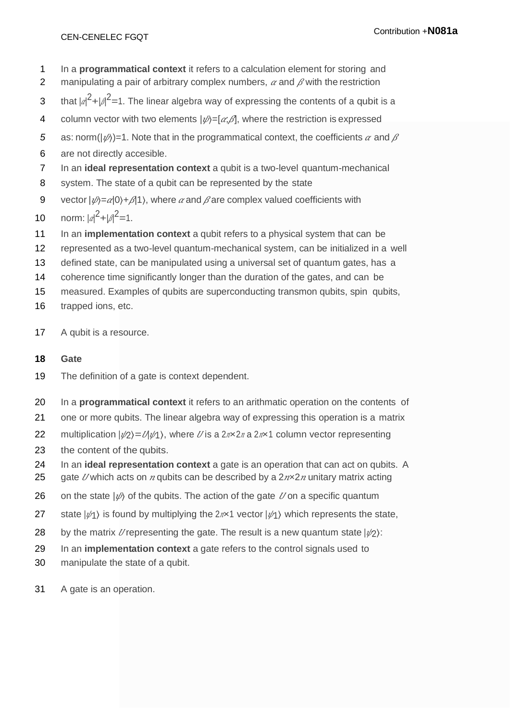- 1 In a **programmatical context** it refers to a calculation element for storing and
- 2 manipulating a pair of arbitrary complex numbers,  $\alpha$  and  $\beta$  with the restriction
- 3 that  $|a|^2 + |A|^2 = 1$ . The linear algebra way of expressing the contents of a qubit is a
- 4 column vector with two elements  $|\psi\rangle = [\alpha, \beta]$ , where the restriction is expressed
- 5 as: norm( $|\psi\rangle$ )=1. Note that in the programmatical context, the coefficients  $\alpha$  and  $\beta$
- 6 are not directly accesible.
- 7 In an **ideal representation context** a qubit is a two-level quantum-mechanical
- 8 system. The state of a qubit can be represented by the state
- 9 vector  $|\psi\rangle = a|0\rangle + b|1\rangle$ , where  $\alpha$  and  $\beta$  are complex valued coefficients with
- 10 norm:  $|a|^2 + |a|^2 = 1$ .
- 11 In an **implementation context** a qubit refers to a physical system that can be
- 12 represented as a two-level quantum-mechanical system, can be initialized in a well
- 13 defined state, can be manipulated using a universal set of quantum gates, has a
- 14 coherence time significantly longer than the duration of the gates, and can be
- 15 measured. Examples of qubits are superconducting transmon qubits, spin qubits,
- 16 trapped ions, etc.
- 17 A qubit is a resource.

# **18 Gate**

- 19 The definition of a gate is context dependent.
- 20 In a **programmatical context** it refers to an arithmatic operation on the contents of
- 21 one or more qubits. The linear algebra way of expressing this operation is a matrix
- 22 multiplication  $|\psi_2\rangle = \mathcal{U}\psi_1$ , where *U* is a  $2n \times 2n$  a  $2n \times 1$  column vector representing
- 23 the content of the qubits.
- 24 In an **ideal representation context** a gate is an operation that can act on qubits. A
- 25 gate *U* which acts on *n* qubits can be described by a  $2n \times 2n$  unitary matrix acting
- 26 on the state  $|\psi\rangle$  of the qubits. The action of the gate  $U$  on a specific quantum
- 27 state  $|\psi\rangle$  is found by multiplying the  $2n\times1$  vector  $|\psi\rangle$  which represents the state,
- 28 by the matrix *U* representing the gate. The result is a new quantum state  $|\psi_2\rangle$ :
- 29 In an **implementation context** a gate refers to the control signals used to
- 30 manipulate the state of a qubit.
- 31 A gate is an operation.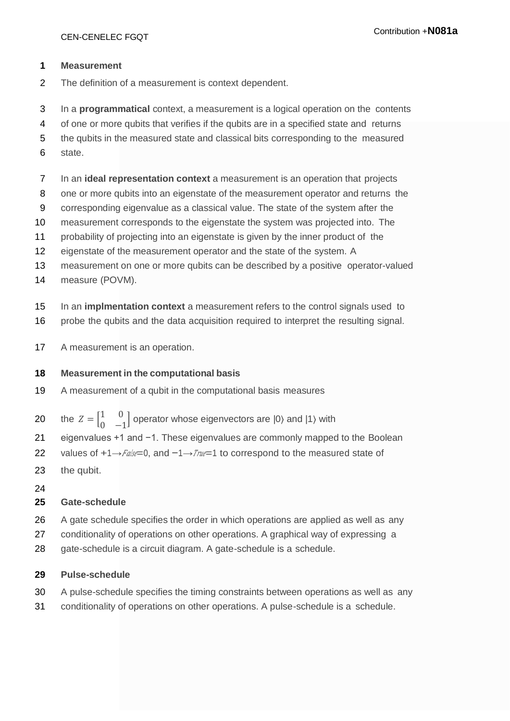#### **Measurement**

- The definition of a measurement is context dependent.
- In a **programmatical** context, a measurement is a logical operation on the contents
- of one or more qubits that verifies if the qubits are in a specified state and returns
- the qubits in the measured state and classical bits corresponding to the measured
- state.
- In an **ideal representation context** a measurement is an operation that projects
- one or more qubits into an eigenstate of the measurement operator and returns the
- corresponding eigenvalue as a classical value. The state of the system after the
- measurement corresponds to the eigenstate the system was projected into. The
- probability of projecting into an eigenstate is given by the inner product of the
- eigenstate of the measurement operator and the state of the system. A
- measurement on one or more qubits can be described by a positive operator-valued
- measure (POVM).
- In an **implmentation context** a measurement refers to the control signals used to
- probe the qubits and the data acquisition required to interpret the resulting signal.
- 17 A measurement is an operation.

#### **Measurement in the computational basis**

- A measurement of a qubit in the computational basis measures
- 20 the  $Z = \begin{bmatrix} 1 & 0 \\ 0 & 0 \end{bmatrix}$  $\begin{bmatrix} 1 & 0 \\ 0 & -1 \end{bmatrix}$  operator whose eigenvectors are  $|0\rangle$  and  $|1\rangle$  with
- eigenvalues +1 and −1. These eigenvalues are commonly mapped to the Boolean
- 22 values of  $+1 \rightarrow$  False = 0, and  $-1 \rightarrow$  True = 1 to correspond to the measured state of
- the qubit.
- 

## **Gate-schedule**

- A gate schedule specifies the order in which operations are applied as well as any
- conditionality of operations on other operations. A graphical way of expressing a
- 28 gate-schedule is a circuit diagram. A gate-schedule is a schedule.

#### **Pulse-schedule**

- A pulse-schedule specifies the timing constraints between operations as well as any
- conditionality of operations on other operations. A pulse-schedule is a schedule.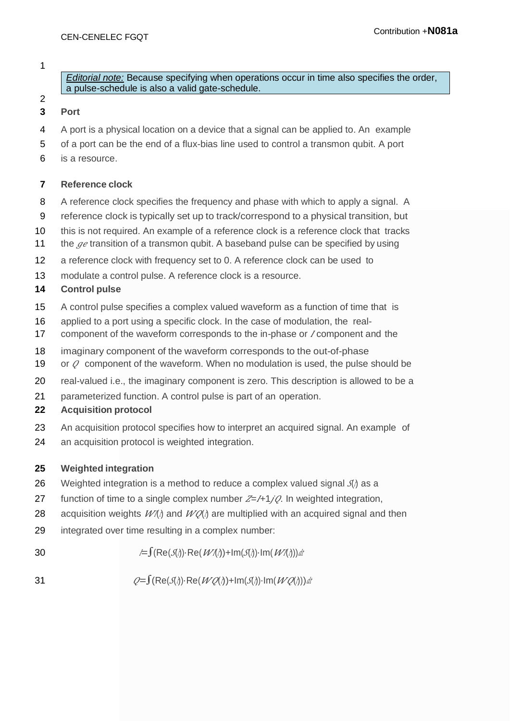*Editorial note:* Because specifying when operations occur in time also specifies the order, a pulse-schedule is also a valid gate-schedule.

# **Port**

- A port is a physical location on a device that a signal can be applied to. An example
- of a port can be the end of a flux-bias line used to control a transmon qubit. A port
- is a resource.

#### **Reference clock**

- A reference clock specifies the frequency and phase with which to apply a signal. A
- reference clock is typically set up to track/correspond to a physical transition, but
- this is not required. An example of a reference clock is a reference clock that tracks
- 11 the  $\mathcal{G}e$  transition of a transmon qubit. A baseband pulse can be specified by using
- a reference clock with frequency set to 0. A reference clock can be used to
- modulate a control pulse. A reference clock is a resource.

#### **Control pulse**

- A control pulse specifies a complex valued waveform as a function of time that is
- applied to a port using a specific clock. In the case of modulation, the real-
- 17 component of the waveform corresponds to the in-phase or *l* component and the
- imaginary component of the waveform corresponds to the out-of-phase
- 19 or  $Q$  component of the waveform. When no modulation is used, the pulse should be
- real-valued i.e., the imaginary component is zero. This description is allowed to be a
- parameterized function. A control pulse is part of an operation.

#### **Acquisition protocol**

- An acquisition protocol specifies how to interpret an acquired signal. An example of
- an acquisition protocol is weighted integration.

## **Weighted integration**

- 26 Weighted integration is a method to reduce a complex valued signal  $\mathcal{J}$  as a
- 27 function of time to a single complex number  $Z=1+1/\sqrt{2}$ . In weighted integration,
- 28 acquisition weights  $W/\lambda$  and  $W/\lambda$  are multiplied with an acquired signal and then
- integrated over time resulting in a complex number:
- 30  $= \int (\text{Re}(\mathcal{J}(\lambda)) \cdot \text{Re}(\mathcal{W}(\lambda)) + \text{Im}(\mathcal{J}(\lambda)) \cdot \text{Im}(\mathcal{W}(\lambda))) dt$
- 31  $Q = \int (Re(\mathcal{J}\lambda) \cdot Re(\mathcal{W}\mathcal{O}\lambda) + Im(\mathcal{J}\lambda) \cdot Im(\mathcal{W}\mathcal{O}\lambda)) dt$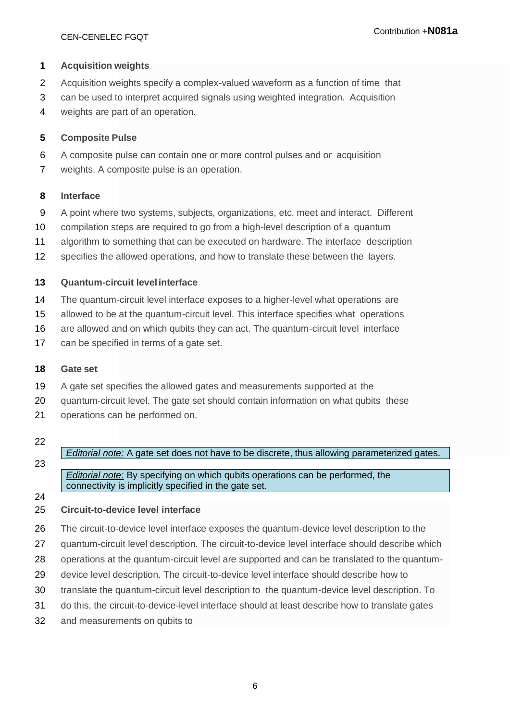#### **Acquisition weights**

- Acquisition weights specify a complex-valued waveform as a function of time that
- can be used to interpret acquired signals using weighted integration. Acquisition
- weights are part of an operation.

#### **Composite Pulse**

- A composite pulse can contain one or more control pulses and or acquisition
- weights. A composite pulse is an operation.

#### **Interface**

- A point where two systems, subjects, organizations, etc. meet and interact. Different
- compilation steps are required to go from a high-level description of a quantum
- algorithm to something that can be executed on hardware. The interface description
- specifies the allowed operations, and how to translate these between the layers.

#### **Quantum-circuit levelinterface**

- The quantum-circuit level interface exposes to a higher-level what operations are
- allowed to be at the quantum-circuit level. This interface specifies what operations
- are allowed and on which qubits they can act. The quantum-circuit level interface
- 17 can be specified in terms of a gate set.

#### **Gate set**

- A gate set specifies the allowed gates and measurements supported at the
- quantum-circuit level. The gate set should contain information on what qubits these
- operations can be performed on.

#### 

*Editorial note:* A gate set does not have to be discrete, thus allowing parameterized gates.

*Editorial note:* By specifying on which qubits operations can be performed, the connectivity is implicitly specified in the gate set.

#### **Circuit-to-device level interface**

- The circuit-to-device level interface exposes the quantum-device level description to the
- quantum-circuit level description. The circuit-to-device level interface should describe which
- operations at the quantum-circuit level are supported and can be translated to the quantum-
- device level description. The circuit-to-device level interface should describe how to
- translate the quantum-circuit level description to the quantum-device level description. To
- do this, the circuit-to-device-level interface should at least describe how to translate gates
- and measurements on qubits to